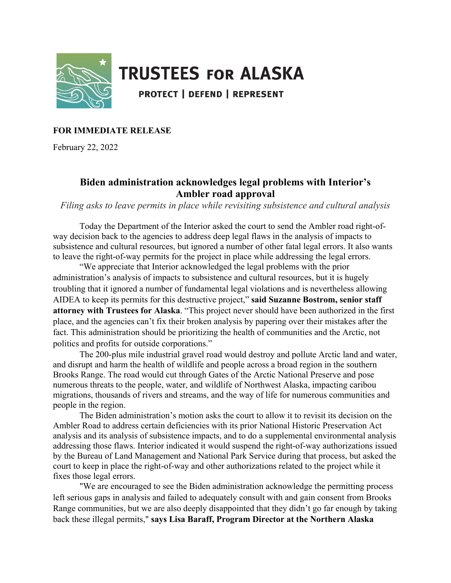

# **TRUSTEES FOR ALASKA**

**PROTECT | DEFEND | REPRESENT** 

## **FOR IMMEDIATE RELEASE**

February 22, 2022

# **Biden administration acknowledges legal problems with Interior's Ambler road approval**

*Filing asks to leave permits in place while revisiting subsistence and cultural analysis*

Today the Department of the Interior asked the court to send the Ambler road right-ofway decision back to the agencies to address deep legal flaws in the analysis of impacts to subsistence and cultural resources, but ignored a number of other fatal legal errors. It also wants to leave the right-of-way permits for the project in place while addressing the legal errors.

"We appreciate that Interior acknowledged the legal problems with the prior administration's analysis of impacts to subsistence and cultural resources, but it is hugely troubling that it ignored a number of fundamental legal violations and is nevertheless allowing AIDEA to keep its permits for this destructive project," **said Suzanne Bostrom, senior staff attorney with Trustees for Alaska**. "This project never should have been authorized in the first place, and the agencies can't fix their broken analysis by papering over their mistakes after the fact. This administration should be prioritizing the health of communities and the Arctic, not politics and profits for outside corporations."

The 200-plus mile industrial gravel road would destroy and pollute Arctic land and water, and disrupt and harm the health of wildlife and people across a broad region in the southern Brooks Range. The road would cut through Gates of the Arctic National Preserve and pose numerous threats to the people, water, and wildlife of Northwest Alaska, impacting caribou migrations, thousands of rivers and streams, and the way of life for numerous communities and people in the region.

The Biden administration's motion asks the court to allow it to revisit its decision on the Ambler Road to address certain deficiencies with its prior National Historic Preservation Act analysis and its analysis of subsistence impacts, and to do a supplemental environmental analysis addressing those flaws. Interior indicated it would suspend the right-of-way authorizations issued by the Bureau of Land Management and National Park Service during that process, but asked the court to keep in place the right-of-way and other authorizations related to the project while it fixes those legal errors.

"We are encouraged to see the Biden administration acknowledge the permitting process left serious gaps in analysis and failed to adequately consult with and gain consent from Brooks Range communities, but we are also deeply disappointed that they didn't go far enough by taking back these illegal permits," **says Lisa Baraff, Program Director at the Northern Alaska**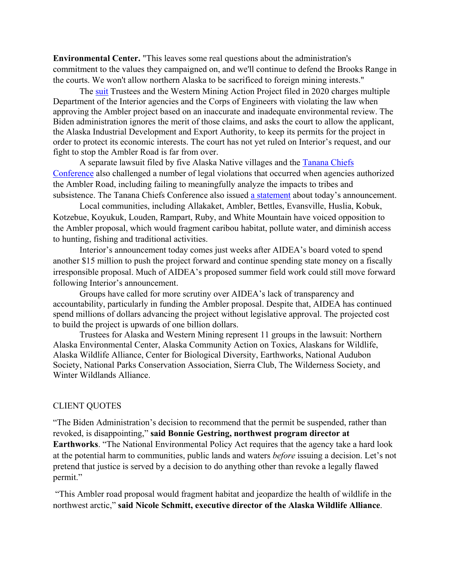**Environmental Center.** "This leaves some real questions about the administration's commitment to the values they campaigned on, and we'll continue to defend the Brooks Range in the courts. We won't allow northern Alaska to be sacrificed to foreign mining interests."

The [suit](https://www.trustees.org/2020-08-04-ambler-complaint-final/) Trustees and the Western Mining Action Project filed in 2020 charges multiple Department of the Interior agencies and the Corps of Engineers with violating the law when approving the Ambler project based on an inaccurate and inadequate environmental review. The Biden administration ignores the merit of those claims, and asks the court to allow the applicant, the Alaska Industrial Development and Export Authority, to keep its permits for the project in order to protect its economic interests. The court has not yet ruled on Interior's request, and our fight to stop the Ambler Road is far from over.

A separate lawsuit filed by five Alaska Native villages and the [Tanana Chiefs](https://www.tananachiefs.org/protect-the-koyukuk-river/)  [Conference](https://www.tananachiefs.org/protect-the-koyukuk-river/) also challenged a number of legal violations that occurred when agencies authorized the Ambler Road, including failing to meaningfully analyze the impacts to tribes and subsistence. The Tanana Chiefs Conference also issued [a statement](https://www.tananachiefs.org/tcc-and-area-tribes-thank-the-biden-administration-for-recognizing-the-legal-defects-in-ambler-road-decisions-and-urge-the-state-of-alaska-to-drop-the-road-proposal/) about today's announcement.

Local communities, including [Allakaket, A](https://medium.com/@northerncenter/allakaket-opposition-to-the-ambler-mining-district-industrial-access-road-4fa1008dbc36)mbler, Bettles, Evansville, Huslia, Kobuk, Kotzebue, Koyukuk, Louden, Rampart, Ruby, and White Mountain have voiced opposition to the Ambler proposal, which would fragment caribou habitat, pollute water, and diminish access to hunting, fishing and traditional activities.

Interior's announcement today comes just weeks after AIDEA's board voted to spend another \$15 million to push the project forward and continue spending state money on a fiscally irresponsible proposal. Much of AIDEA's proposed summer field work could still move forward following Interior's announcement.

Groups have called for more scrutiny over AIDEA's lack of transparency and accountability, particularly in funding the Ambler proposal. Despite that, AIDEA has continued spend millions of dollars advancing the project without legislative approval. The projected cost to build the project is upwards of one billion dollars.

Trustees for Alaska and Western Mining represent 11 groups in the lawsuit: Northern Alaska Environmental Center, Alaska Community Action on Toxics, Alaskans for Wildlife, Alaska Wildlife Alliance, Center for Biological Diversity, Earthworks, National Audubon Society, National Parks Conservation Association, Sierra Club, The Wilderness Society, and Winter Wildlands Alliance.

#### CLIENT QUOTES

"The Biden Administration's decision to recommend that the permit be suspended, rather than revoked, is disappointing," **said Bonnie Gestring, northwest program director at Earthworks**. "The National Environmental Policy Act requires that the agency take a hard look at the potential harm to communities, public lands and waters *before* issuing a decision. Let's not pretend that justice is served by a decision to do anything other than revoke a legally flawed permit."

"This Ambler road proposal would fragment habitat and jeopardize the health of wildlife in the northwest arctic," **said Nicole Schmitt, executive director of the Alaska Wildlife Alliance**.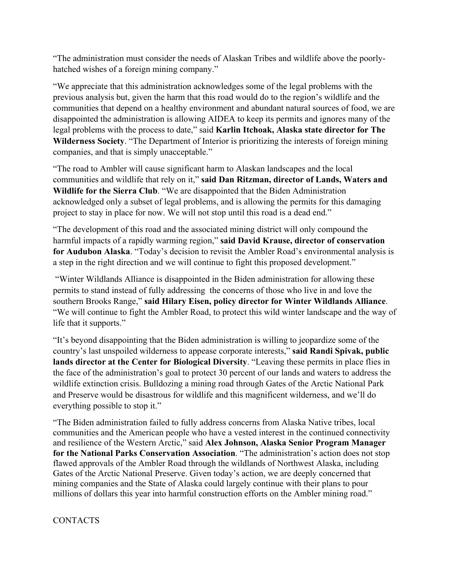"The administration must consider the needs of Alaskan Tribes and wildlife above the poorlyhatched wishes of a foreign mining company."

"We appreciate that this administration acknowledges some of the legal problems with the previous analysis but, given the harm that this road would do to the region's wildlife and the communities that depend on a healthy environment and abundant natural sources of food, we are disappointed the administration is allowing AIDEA to keep its permits and ignores many of the legal problems with the process to date," said **Karlin Itchoak, Alaska state director for The Wilderness Society**. "The Department of Interior is prioritizing the interests of foreign mining companies, and that is simply unacceptable."

"The road to Ambler will cause significant harm to Alaskan landscapes and the local communities and wildlife that rely on it," **said Dan Ritzman, director of Lands, Waters and Wildlife for the Sierra Club**. "We are disappointed that the Biden Administration acknowledged only a subset of legal problems, and is allowing the permits for this damaging project to stay in place for now. We will not stop until this road is a dead end."

"The development of this road and the associated mining district will only compound the harmful impacts of a rapidly warming region," **said David Krause, director of conservation for Audubon Alaska**. "Today's decision to revisit the Ambler Road's environmental analysis is a step in the right direction and we will continue to fight this proposed development."

"Winter Wildlands Alliance is disappointed in the Biden administration for allowing these permits to stand instead of fully addressing the concerns of those who live in and love the southern Brooks Range," **said Hilary Eisen, policy director for Winter Wildlands Alliance**. "We will continue to fight the Ambler Road, to protect this wild winter landscape and the way of life that it supports."

"It's beyond disappointing that the Biden administration is willing to jeopardize some of the country's last unspoiled wilderness to appease corporate interests," **said Randi Spivak, public lands director at the Center for Biological Diversity**. "Leaving these permits in place flies in the face of the administration's goal to protect 30 percent of our lands and waters to address the wildlife extinction crisis. Bulldozing a mining road through Gates of the Arctic National Park and Preserve would be disastrous for wildlife and this magnificent wilderness, and we'll do everything possible to stop it."

"The Biden administration failed to fully address concerns from Alaska Native tribes, local communities and the American people who have a vested interest in the continued connectivity and resilience of the Western Arctic," said **Alex Johnson, Alaska Senior Program Manager for the National Parks Conservation Association**. "The administration's action does not stop flawed approvals of the Ambler Road through the wildlands of Northwest Alaska, including Gates of the Arctic National Preserve. Given today's action, we are deeply concerned that mining companies and the State of Alaska could largely continue with their plans to pour millions of dollars this year into harmful construction efforts on the Ambler mining road."

### CONTACTS